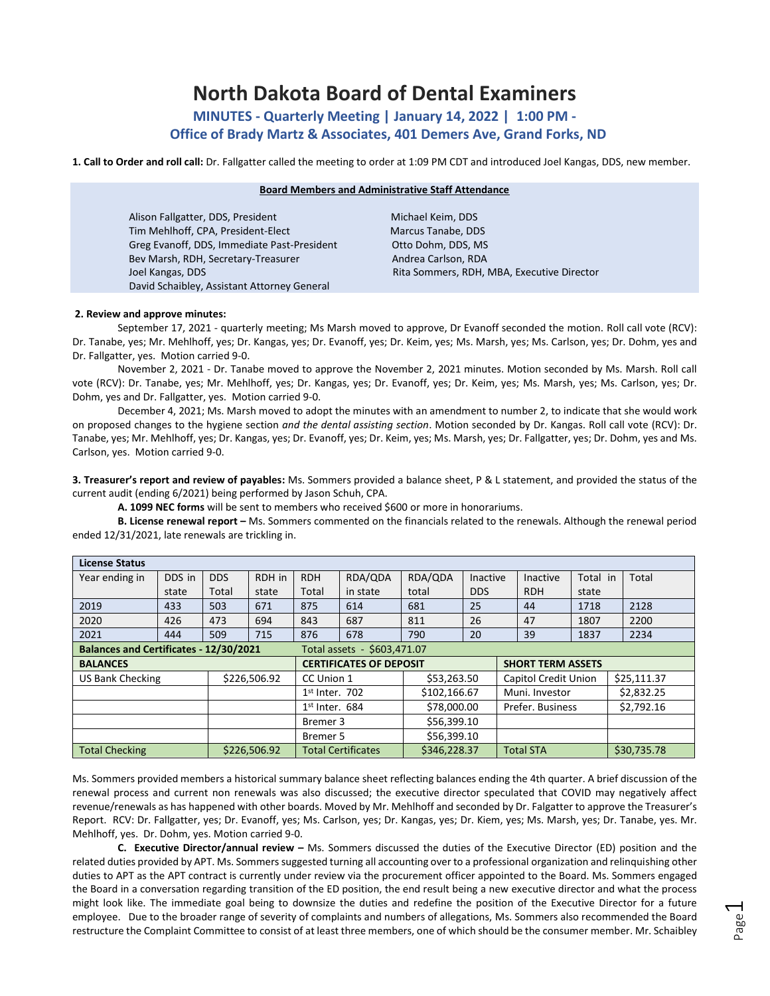# **North Dakota Board of Dental Examiners**

**MINUTES - Quarterly Meeting | January 14, 2022 | 1:00 PM - Office of Brady Martz & Associates, 401 Demers Ave, Grand Forks, ND** 

**1. Call to Order and roll call:** Dr. Fallgatter called the meeting to order at 1:09 PM CDT and introduced Joel Kangas, DDS, new member.

# **Board Members and Administrative Staff Attendance** Alison Fallgatter, DDS, President Michael Keim, DDS Tim Mehlhoff, CPA, President-Elect Marcus Tanabe, DDS Greg Evanoff, DDS, Immediate Past-President Otto Dohm, DDS, MS

David Schaibley, Assistant Attorney General

Bev Marsh, RDH, Secretary-Treasurer Andrea Carlson, RDA Joel Kangas, DDS Rita Sommers, RDH, MBA, Executive Director

# **2. Review and approve minutes:**

September 17, 2021 - quarterly meeting; Ms Marsh moved to approve, Dr Evanoff seconded the motion. Roll call vote (RCV): Dr. Tanabe, yes; Mr. Mehlhoff, yes; Dr. Kangas, yes; Dr. Evanoff, yes; Dr. Keim, yes; Ms. Marsh, yes; Ms. Carlson, yes; Dr. Dohm, yes and Dr. Fallgatter, yes. Motion carried 9-0.

November 2, 2021 - Dr. Tanabe moved to approve the November 2, 2021 minutes. Motion seconded by Ms. Marsh. Roll call vote (RCV): Dr. Tanabe, yes; Mr. Mehlhoff, yes; Dr. Kangas, yes; Dr. Evanoff, yes; Dr. Keim, yes; Ms. Marsh, yes; Ms. Carlson, yes; Dr. Dohm, yes and Dr. Fallgatter, yes. Motion carried 9-0.

December 4, 2021; Ms. Marsh moved to adopt the minutes with an amendment to number 2, to indicate that she would work on proposed changes to the hygiene section *and the dental assisting section*. Motion seconded by Dr. Kangas. Roll call vote (RCV): Dr. Tanabe, yes; Mr. Mehlhoff, yes; Dr. Kangas, yes; Dr. Evanoff, yes; Dr. Keim, yes; Ms. Marsh, yes; Dr. Fallgatter, yes; Dr. Dohm, yes and Ms. Carlson, yes. Motion carried 9-0.

**3. Treasurer's report and review of payables:** Ms. Sommers provided a balance sheet, P & L statement, and provided the status of the current audit (ending 6/2021) being performed by Jason Schuh, CPA.

**A. 1099 NEC forms** will be sent to members who received \$600 or more in honorariums.

**B. License renewal report –** Ms. Sommers commented on the financials related to the renewals. Although the renewal period ended 12/31/2021, late renewals are trickling in.

| <b>License Status</b>                                                 |        |              |                  |                                |                           |              |            |                          |                      |       |             |             |  |
|-----------------------------------------------------------------------|--------|--------------|------------------|--------------------------------|---------------------------|--------------|------------|--------------------------|----------------------|-------|-------------|-------------|--|
| Year ending in                                                        | DDS in | DDS.         | RDH in           | <b>RDH</b>                     | RDA/QDA                   | RDA/QDA      | Inactive   |                          | Total in<br>Inactive |       |             | Total       |  |
|                                                                       | state  | Total        | state            | Total                          | in state                  | total        | <b>DDS</b> |                          | <b>RDH</b>           | state |             |             |  |
| 2019                                                                  | 433    | 503          | 671              | 875                            | 614                       | 681          | 25         |                          | 44                   | 1718  |             | 2128        |  |
| 2020                                                                  | 426    | 473          | 694              | 843                            | 687                       | 811          | 26         |                          | 47                   | 1807  |             | 2200        |  |
| 2021                                                                  | 444    | 509          | 715              | 876                            | 678                       | 790          | 20         |                          | 39                   | 1837  |             | 2234        |  |
| Balances and Certificates - 12/30/2021<br>Total assets - \$603.471.07 |        |              |                  |                                |                           |              |            |                          |                      |       |             |             |  |
| <b>BALANCES</b>                                                       |        |              |                  | <b>CERTIFICATES OF DEPOSIT</b> |                           |              |            | <b>SHORT TERM ASSETS</b> |                      |       |             |             |  |
| <b>US Bank Checking</b>                                               |        | \$226,506.92 |                  | CC Union 1                     |                           | \$53,263.50  |            |                          | Capitol Credit Union |       |             | \$25,111.37 |  |
|                                                                       |        |              | $1st$ Inter. 702 |                                |                           | \$102,166.67 |            | Muni. Investor           |                      |       | \$2,832.25  |             |  |
|                                                                       |        |              | $1st$ Inter. 684 |                                | \$78,000.00               |              |            | Prefer. Business         |                      |       | \$2,792.16  |             |  |
|                                                                       |        |              |                  | Bremer 3                       |                           | \$56,399.10  |            |                          |                      |       |             |             |  |
|                                                                       |        |              | Bremer 5         |                                |                           | \$56,399.10  |            |                          |                      |       |             |             |  |
| <b>Total Checking</b>                                                 |        |              | \$226,506.92     |                                | <b>Total Certificates</b> | \$346,228.37 |            | <b>Total STA</b>         |                      |       | \$30,735.78 |             |  |

Ms. Sommers provided members a historical summary balance sheet reflecting balances ending the 4th quarter. A brief discussion of the renewal process and current non renewals was also discussed; the executive director speculated that COVID may negatively affect revenue/renewals as has happened with other boards. Moved by Mr. Mehlhoff and seconded by Dr. Falgatter to approve the Treasurer's Report. RCV: Dr. Fallgatter, yes; Dr. Evanoff, yes; Ms. Carlson, yes; Dr. Kangas, yes; Dr. Kiem, yes; Ms. Marsh, yes; Dr. Tanabe, yes. Mr. Mehlhoff, yes. Dr. Dohm, yes. Motion carried 9-0.

**C. Executive Director/annual review –** Ms. Sommers discussed the duties of the Executive Director (ED) position and the related duties provided by APT. Ms. Sommers suggested turning all accounting over to a professional organization and relinquishing other duties to APT as the APT contract is currently under review via the procurement officer appointed to the Board. Ms. Sommers engaged the Board in a conversation regarding transition of the ED position, the end result being a new executive director and what the process might look like. The immediate goal being to downsize the duties and redefine the position of the Executive Director for a future employee. Due to the broader range of severity of complaints and numbers of allegations, Ms. Sommers also recommended the Board restructure the Complaint Committee to consist of at least three members, one of which should be the consumer member. Mr. Schaibley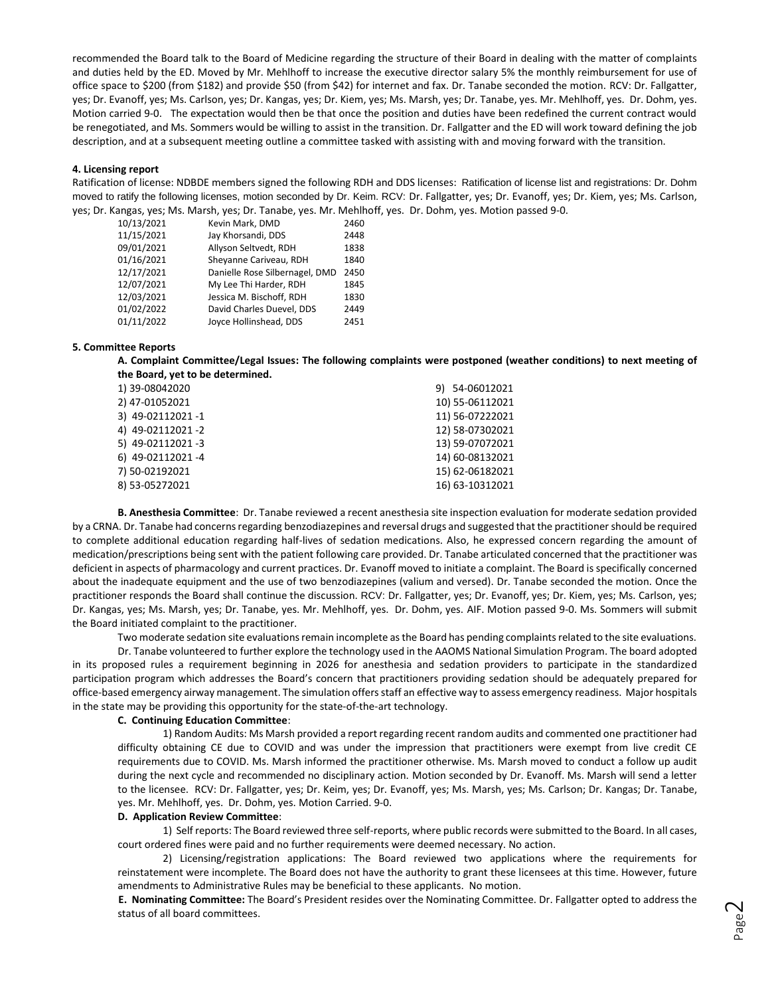recommended the Board talk to the Board of Medicine regarding the structure of their Board in dealing with the matter of complaints and duties held by the ED. Moved by Mr. Mehlhoff to increase the executive director salary 5% the monthly reimbursement for use of office space to \$200 (from \$182) and provide \$50 (from \$42) for internet and fax. Dr. Tanabe seconded the motion. RCV: Dr. Fallgatter, yes; Dr. Evanoff, yes; Ms. Carlson, yes; Dr. Kangas, yes; Dr. Kiem, yes; Ms. Marsh, yes; Dr. Tanabe, yes. Mr. Mehlhoff, yes. Dr. Dohm, yes. Motion carried 9-0. The expectation would then be that once the position and duties have been redefined the current contract would be renegotiated, and Ms. Sommers would be willing to assist in the transition. Dr. Fallgatter and the ED will work toward defining the job description, and at a subsequent meeting outline a committee tasked with assisting with and moving forward with the transition.

#### **4. Licensing report**

Ratification of license: NDBDE members signed the following RDH and DDS licenses: Ratification of license list and registrations: Dr. Dohm moved to ratify the following licenses, motion seconded by Dr. Keim. RCV: Dr. Fallgatter, yes; Dr. Evanoff, yes; Dr. Kiem, yes; Ms. Carlson, yes; Dr. Kangas, yes; Ms. Marsh, yes; Dr. Tanabe, yes. Mr. Mehlhoff, yes. Dr. Dohm, yes. Motion passed 9-0.

| 10/13/2021 | Kevin Mark, DMD                | 2460 |
|------------|--------------------------------|------|
| 11/15/2021 | Jay Khorsandi, DDS             | 2448 |
| 09/01/2021 | Allyson Seltvedt, RDH          | 1838 |
| 01/16/2021 | Sheyanne Cariveau, RDH         | 1840 |
| 12/17/2021 | Danielle Rose Silbernagel, DMD | 2450 |
| 12/07/2021 | My Lee Thi Harder, RDH         | 1845 |
| 12/03/2021 | Jessica M. Bischoff, RDH       | 1830 |
| 01/02/2022 | David Charles Duevel, DDS      | 2449 |
| 01/11/2022 | Joyce Hollinshead, DDS         | 2451 |

#### **5. Committee Reports**

**A. Complaint Committee/Legal Issues: The following complaints were postponed (weather conditions) to next meeting of the Board, yet to be determined.**

| 1) 39-08042020    | 9) 54-06012021  |
|-------------------|-----------------|
| 2) 47-01052021    | 10) 55-06112021 |
| 3) 49-02112021-1  | 11) 56-07222021 |
| 4) 49-02112021 -2 | 12) 58-07302021 |
| 5) 49-02112021-3  | 13) 59-07072021 |
| 6) 49-02112021-4  | 14) 60-08132021 |
| 7) 50-02192021    | 15) 62-06182021 |
| 8) 53-05272021    | 16) 63-10312021 |
|                   |                 |

**B. Anesthesia Committee**: Dr. Tanabe reviewed a recent anesthesia site inspection evaluation for moderate sedation provided by a CRNA. Dr. Tanabe had concerns regarding benzodiazepines and reversal drugs and suggested that the practitioner should be required to complete additional education regarding half-lives of sedation medications. Also, he expressed concern regarding the amount of medication/prescriptions being sent with the patient following care provided. Dr. Tanabe articulated concerned that the practitioner was deficient in aspects of pharmacology and current practices. Dr. Evanoff moved to initiate a complaint. The Board is specifically concerned about the inadequate equipment and the use of two benzodiazepines (valium and versed). Dr. Tanabe seconded the motion. Once the practitioner responds the Board shall continue the discussion. RCV: Dr. Fallgatter, yes; Dr. Evanoff, yes; Dr. Kiem, yes; Ms. Carlson, yes; Dr. Kangas, yes; Ms. Marsh, yes; Dr. Tanabe, yes. Mr. Mehlhoff, yes. Dr. Dohm, yes. AIF. Motion passed 9-0. Ms. Sommers will submit the Board initiated complaint to the practitioner.

Two moderate sedation site evaluations remain incomplete as the Board has pending complaints related to the site evaluations.

Dr. Tanabe volunteered to further explore the technology used in the AAOMS National Simulation Program. The board adopted in its proposed rules a requirement beginning in 2026 for anesthesia and sedation providers to participate in the standardized participation program which addresses the Board's concern that practitioners providing sedation should be adequately prepared for office-based emergency airway management. The simulation offers staff an effective way to assess emergency readiness. Major hospitals in the state may be providing this opportunity for the state-of-the-art technology.

# **C. Continuing Education Committee**:

1) Random Audits: Ms Marsh provided a report regarding recent random audits and commented one practitioner had difficulty obtaining CE due to COVID and was under the impression that practitioners were exempt from live credit CE requirements due to COVID. Ms. Marsh informed the practitioner otherwise. Ms. Marsh moved to conduct a follow up audit during the next cycle and recommended no disciplinary action. Motion seconded by Dr. Evanoff. Ms. Marsh will send a letter to the licensee. RCV: Dr. Fallgatter, yes; Dr. Keim, yes; Dr. Evanoff, yes; Ms. Marsh, yes; Ms. Carlson; Dr. Kangas; Dr. Tanabe, yes. Mr. Mehlhoff, yes. Dr. Dohm, yes. Motion Carried. 9-0.

#### **D. Application Review Committee**:

1) Self reports: The Board reviewed three self-reports, where public records were submitted to the Board. In all cases, court ordered fines were paid and no further requirements were deemed necessary. No action.

2) Licensing/registration applications: The Board reviewed two applications where the requirements for reinstatement were incomplete. The Board does not have the authority to grant these licensees at this time. However, future amendments to Administrative Rules may be beneficial to these applicants. No motion.

**E. Nominating Committee:** The Board's President resides over the Nominating Committee. Dr. Fallgatter opted to address the status of all board committees.